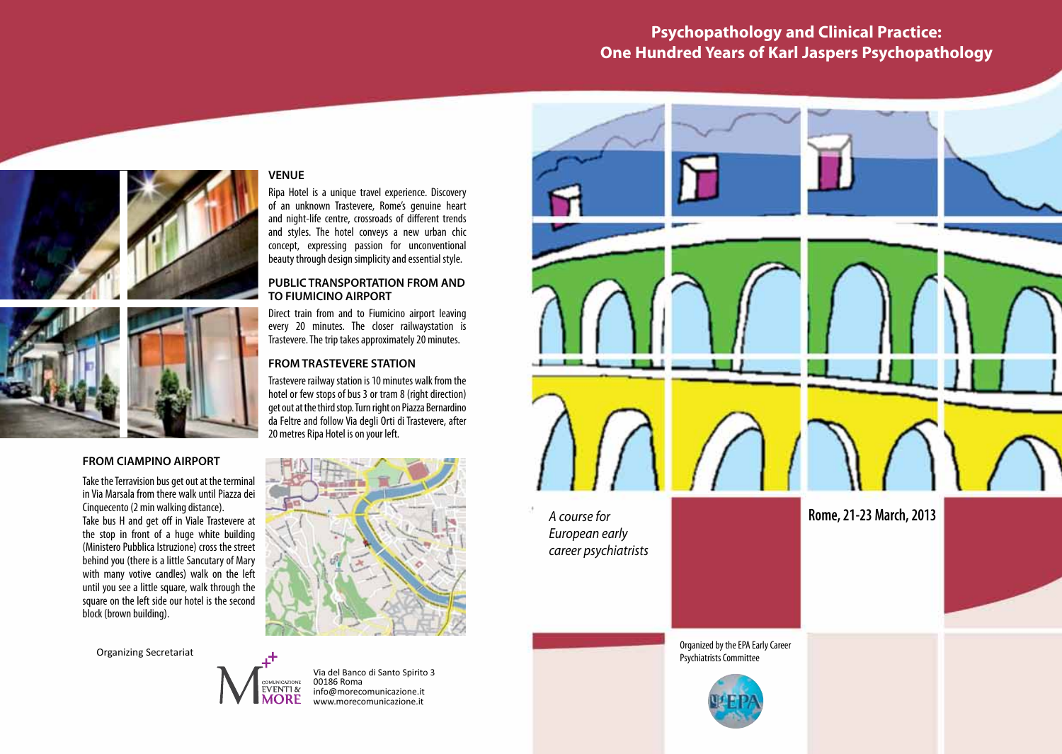# **Psychopathology and Clinical Practice: One Hundred Years of Karl Jaspers Psychopathology**





# **FROM CIAMPINO AIRPORT**

Take the Terravision bus get out at the terminal in Via Marsala from there walk until Piazza dei Cinquecento (2 min walking distance). Take bus H and get off in Viale Trastevere at the stop in front of a huge white building (Ministero Pubblica Istruzione) cross the street behind you (there is a little Sancutary of Mary Formato Orizzonatale berling you (there is a little sanctatary of mary until you see a little square, walk through the square on the left side our hotel is the second block (brown building).

Organizing Secretariat



**VENUE**

Ripa Hotel is a unique travel experience. Discovery of an unknown Trastevere, Rome's genuine heart and night-life centre, crossroads of different trends and styles. The hotel conveys a new urban chic concept, expressing passion for unconventional beauty through design simplicity and essential style.

**PUBLIC TRANSPORTATION FROM AND** 

Direct train from and to Fiumicino airport leaving every 20 minutes. The closer railwaystation is Trastevere. The trip takes approximately 20 minutes.

Trastevere railway station is 10 minutes walk from the hotel or few stops of bus 3 or tram 8 (right direction) get out at the third stop. Turn right on Piazza Bernardino da Feltre and follow Via degli Orti di Trastevere, after

**TO FIUMICINO AIRPORT**

**FROM TRASTEVERE STATION**

20 metres Ripa Hotel is on your left.

Via del Banco di Santo Spirito 3 00186 Roma info@morecomunicazione.it www.morecomunicazione.it

*A course for European early career psychiatrists* **Rome, 21-23 March, 2013** Organized by the EPA Early Career Psychiatrists Committee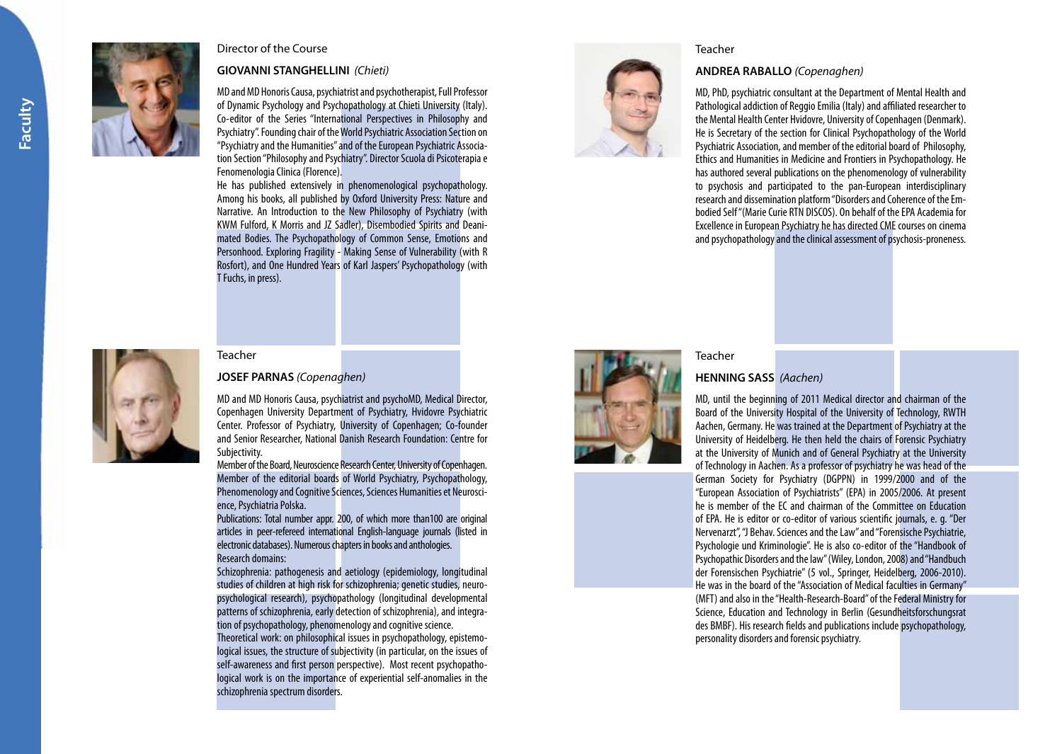

Director of the Course

## **GIOVANNI STANGHELLINI** *(Chieti)*

MD and MD Honoris Causa, psychiatrist and psychotherapist, Full Professor of Dynamic Psychology and Psychopathology at Chieti University (Italy). Co-editor of the Series "International Perspectives in Philosophy and Psychiatry". Founding chair of the World Psychiatric Association Section on "Psychiatry and the Humanities" and of the European Psychiatric Associa tion Section "Philosophy and Psychiatry". Director Scuola di Psicoterapia e Fenomenologia Clinica (Florence).

He has published extensively in phenomenological psychopathology. Among his books, all published by Oxford University Press: Nature and Narrative. An Introduction to the New Philosophy of Psychiatry (with KWM Fulford, K Morris and JZ Sadler), Disembodied Spirits and Deani mated Bodies. The Psychopathology of Common Sense, Emotions and Personhood. Exploring Fragility - Making Sense of Vulnerability (with R Rosfort), and One Hundred Years of Karl Jaspers' Psychopathology (with T Fuchs, in press).



## Teacher

## **ANDREA RABALLO** *(Copenaghen)*

MD, PhD, psychiatric consultant at the Department of Mental Health and Pathological addiction of Reggio Emilia (Italy) and affiliated researcher to the Mental Health Center Hvidovre, University of Copenhagen (Denmark). He is Secretary of the section for Clinical Psychopathology of the World Psychiatric Association, and member of the editorial board of Philosophy, Ethics and Humanities in Medicine and Frontiers in Psychopathology. He has authored several publications on the phenomenology of vulnerability to psychosis and participated to the pan-European interdisciplinary research and dissemination platform "Disorders and Coherence of the Em bodied Self "(Marie Curie RTN DISCOS). On behalf of the EPA Academia for Excellence in European Psychiatry he has directed CME courses on cinema and psychopathology and the clinical assessment of psychosis-proneness.



#### Teacher

## **JOSEF PARNAS** *(Copenaghen)*

MD and MD Honoris Causa, psychiatrist and psychoMD, Medical Director, Copenhagen University Department of Psychiatry, Hvidovre Psychiatric Center. Professor of Psychiatry, University of Copenhagen; Co-founder and Senior Researcher, National Danish Research Foundation: Centre for Subjectivity.

Member of the Board, Neuroscience Research Center, University of Copenhagen. Member of the editorial boards of World Psychiatry, Psychopathology, Phenomenology and Cognitive Sciences, Sciences Humanities et Neurosci ence, Psychiatria Polska.

Publications: Total number appr. 200, of which more than100 are original articles in peer-refereed international English-language journals (listed in electronic databases). Numerous chapters in books and anthologies. Research domains:

Schizophrenia: pathogenesis and aetiology (epidemiology, longitudinal studies of children at high risk for schizophrenia; genetic studies, neuro psychological research), psychopathology (longitudinal developmental patterns of schizophrenia, early detection of schizophrenia), and integra tion of psychopathology, phenomenology and cognitive science.

Theoretical work: on philosophical issues in psychopathology, epistemo logical issues, the structure of subjectivity (in particular, on the issues of self-awareness and first person perspective). Most recent psychopathological work is on the importance of experiential self-anomalies in the schizophrenia spectrum disorders.



# **HENNING SASS** *(Aachen)*

Teacher

MD, until the beginning of 2011 Medical director and chairman of the Board of the University Hospital of the University of Technology, RWTH Aachen, Germany. He was trained at the Department of Psychiatry at the University of Heidelberg. He then held the chairs of Forensic Psychiatry at the University of Munich and of General Psychiatry at the University of Technology in Aachen. As a professor of psychiatry he was head of the German Society for Psychiatry (DGPPN) in 1999/2000 and of the "European Association of Psychiatrists" (EPA) in 2005/2006. At present he is member of the EC and chairman of the Committee on Education of EPA. He is editor or co-editor of various scientific journals, e. g. "Der Nervenarzt", "J Behav. Sciences and the Law" and "Forensische Psychiatrie, Psychologie und Kriminologie". He is also co-editor of the "Handbook of Psychopathic Disorders and the law" (Wiley, London, 2008) and "Handbuch der Forensischen Psychiatrie" (5 vol., Springer, Heidelberg, 2006-2010). He was in the board of the "Association of Medical faculties in Germany" (MFT) and also in the "Health-Research-Board" of the Federal Ministry for Science, Education and Technology in Berlin (Gesundheitsforschungsrat des BMBF). His research fields and publications include psychopathology, personality disorders and forensic psychiatry.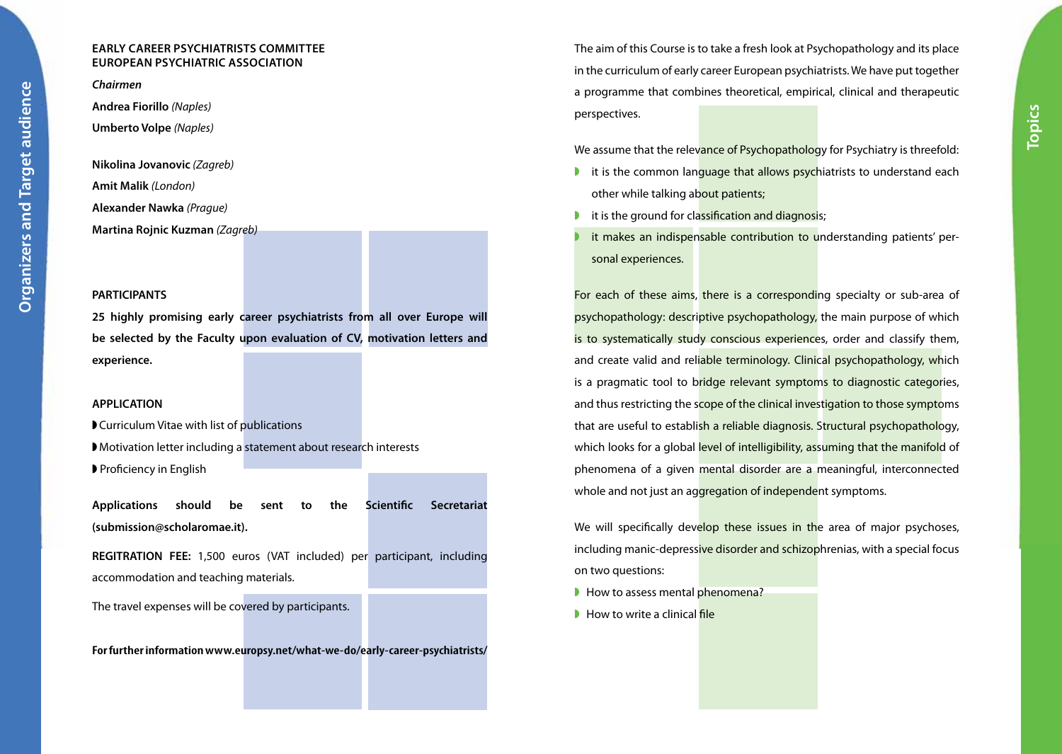# **Early Career Psychiatrists Committee European Psychiatric Association**

*Chairmen*

**Andrea Fiorillo** *(Naples)*

**Umberto Volpe** *(Naples)*

**Nikolina Jovanovic** *(Zagreb)*  **Amit Malik** *(London)* **Alexander Nawka** *(Prague)* **Martina Rojnic Kuzman** *(Zagreb)*

## **PARTICIPANTS**

**25 highly promising early career psychiatrists from all over Europe will be selected by the Faculty upon evaluation of CV, motivation letters and experience.**

## **APPLICATION**

◗ Curriculum Vitae with list of publications ◗ Motivation letter including a statement about research interests ◗ Proficiency in English

**Applications should be sent to the Scientific Secretariat (submission@scholaromae.it).**

**REGITRATION FEE:** 1,500 euros (VAT included) per participant, including accommodation and teaching materials.

The travel expenses will be covered by participants.

**For further information www.europsy.net/what-we-do/early-career-psychiatrists/**

The aim of this Course is to take a fresh look at Psychopathology and its place in the curriculum of early career European psychiatrists. We have put together a programme that combines theoretical, empirical, clinical and therapeutic perspectives.

We assume that the relevance of Psychopathology for Psychiatry is threefold:

- it is the common language that allows psychiatrists to understand each other while talking about patients;
- **I** it is the ground for classification and diagnosis;
- it makes an indispensable contribution to understanding patients' personal experiences.

For each of these aims, there is a corresponding specialty or sub-area of psychopathology: descriptive psychopathology, the main purpose of which is to systematically study conscious experiences, order and classify them, and create valid and reliable terminology. Clinical psychopathology, which is a pragmatic tool to bridge relevant symptoms to diagnostic categories, and thus restricting the scope of the clinical investigation to those symptoms that are useful to establish a reliable diagnosis. Structural psychopathology, which looks for a global level of intelligibility, assuming that the manifold of phenomena of a given mental disorder are a meaningful, interconnected whole and not just an aggregation of independent symptoms.

We will specifically develop these issues in the area of major psychoses, including manic-depressive disorder and schizophrenias, with a special focus on two questions:

- How to assess mental phenomena?
- How to write a clinical file